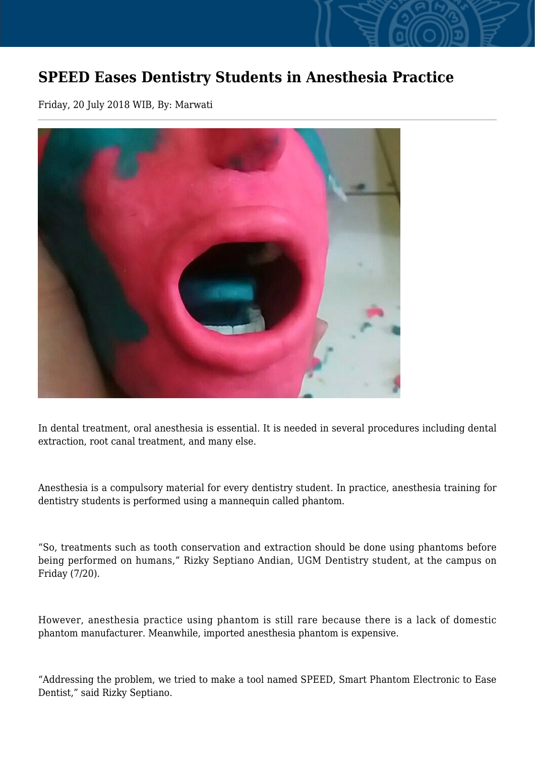## **SPEED Eases Dentistry Students in Anesthesia Practice**

Friday, 20 July 2018 WIB, By: Marwati



In dental treatment, oral anesthesia is essential. It is needed in several procedures including dental extraction, root canal treatment, and many else.

Anesthesia is a compulsory material for every dentistry student. In practice, anesthesia training for dentistry students is performed using a mannequin called phantom.

"So, treatments such as tooth conservation and extraction should be done using phantoms before being performed on humans," Rizky Septiano Andian, UGM Dentistry student, at the campus on Friday (7/20).

However, anesthesia practice using phantom is still rare because there is a lack of domestic phantom manufacturer. Meanwhile, imported anesthesia phantom is expensive.

"Addressing the problem, we tried to make a tool named SPEED, Smart Phantom Electronic to Ease Dentist," said Rizky Septiano.